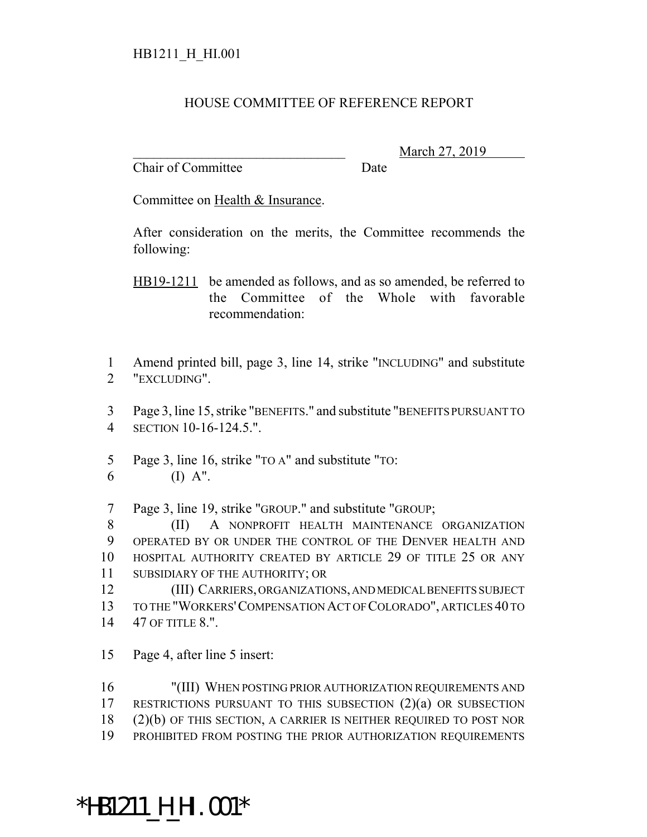## HOUSE COMMITTEE OF REFERENCE REPORT

Chair of Committee Date

\_\_\_\_\_\_\_\_\_\_\_\_\_\_\_\_\_\_\_\_\_\_\_\_\_\_\_\_\_\_\_ March 27, 2019

Committee on Health & Insurance.

After consideration on the merits, the Committee recommends the following:

HB19-1211 be amended as follows, and as so amended, be referred to the Committee of the Whole with favorable recommendation:

1 Amend printed bill, page 3, line 14, strike "INCLUDING" and substitute 2 "EXCLUDING".

3 Page 3, line 15, strike "BENEFITS." and substitute "BENEFITS PURSUANT TO 4 SECTION 10-16-124.5.".

5 Page 3, line 16, strike "TO A" and substitute "TO: 6 (I)  $A''$ .

7 Page 3, line 19, strike "GROUP." and substitute "GROUP;

8 (II) A NONPROFIT HEALTH MAINTENANCE ORGANIZATION OPERATED BY OR UNDER THE CONTROL OF THE DENVER HEALTH AND HOSPITAL AUTHORITY CREATED BY ARTICLE 29 OF TITLE 25 OR ANY SUBSIDIARY OF THE AUTHORITY; OR

12 (III) CARRIERS, ORGANIZATIONS, AND MEDICAL BENEFITS SUBJECT 13 TO THE "WORKERS'COMPENSATION ACT OF COLORADO", ARTICLES 40 TO 14 47 OF TITLE 8.".

15 Page 4, after line 5 insert:

 "(III) WHEN POSTING PRIOR AUTHORIZATION REQUIREMENTS AND RESTRICTIONS PURSUANT TO THIS SUBSECTION (2)(a) OR SUBSECTION (2)(b) OF THIS SECTION, A CARRIER IS NEITHER REQUIRED TO POST NOR PROHIBITED FROM POSTING THE PRIOR AUTHORIZATION REQUIREMENTS

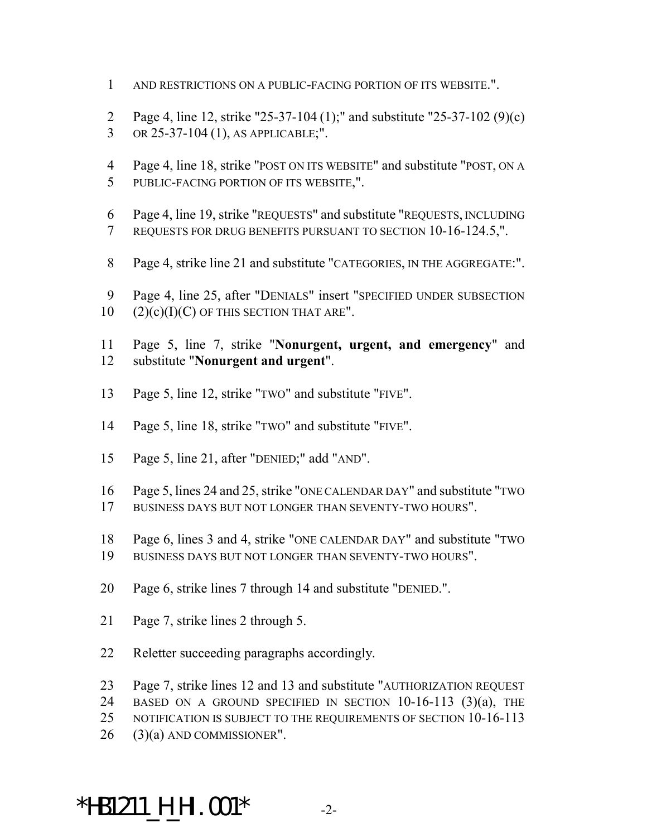- AND RESTRICTIONS ON A PUBLIC-FACING PORTION OF ITS WEBSITE.".
- Page 4, line 12, strike "25-37-104 (1);" and substitute "25-37-102 (9)(c) OR 25-37-104 (1), AS APPLICABLE;".
- Page 4, line 18, strike "POST ON ITS WEBSITE" and substitute "POST, ON A PUBLIC-FACING PORTION OF ITS WEBSITE,".
- Page 4, line 19, strike "REQUESTS" and substitute "REQUESTS, INCLUDING REQUESTS FOR DRUG BENEFITS PURSUANT TO SECTION 10-16-124.5,".
- Page 4, strike line 21 and substitute "CATEGORIES, IN THE AGGREGATE:".
- Page 4, line 25, after "DENIALS" insert "SPECIFIED UNDER SUBSECTION (2)(c)(I)(C) OF THIS SECTION THAT ARE".
- Page 5, line 7, strike "**Nonurgent, urgent, and emergency**" and substitute "**Nonurgent and urgent**".
- Page 5, line 12, strike "TWO" and substitute "FIVE".
- Page 5, line 18, strike "TWO" and substitute "FIVE".
- Page 5, line 21, after "DENIED;" add "AND".
- Page 5, lines 24 and 25, strike "ONE CALENDAR DAY" and substitute "TWO BUSINESS DAYS BUT NOT LONGER THAN SEVENTY-TWO HOURS".
- Page 6, lines 3 and 4, strike "ONE CALENDAR DAY" and substitute "TWO
- BUSINESS DAYS BUT NOT LONGER THAN SEVENTY-TWO HOURS".
- Page 6, strike lines 7 through 14 and substitute "DENIED.".
- Page 7, strike lines 2 through 5.
- Reletter succeeding paragraphs accordingly.
- Page 7, strike lines 12 and 13 and substitute "AUTHORIZATION REQUEST
- BASED ON A GROUND SPECIFIED IN SECTION 10-16-113 (3)(a), THE
- 25 NOTIFICATION IS SUBJECT TO THE REQUIREMENTS OF SECTION 10-16-113
- (3)(a) AND COMMISSIONER".

## \*HB1211\_H\_HI.001\* -2-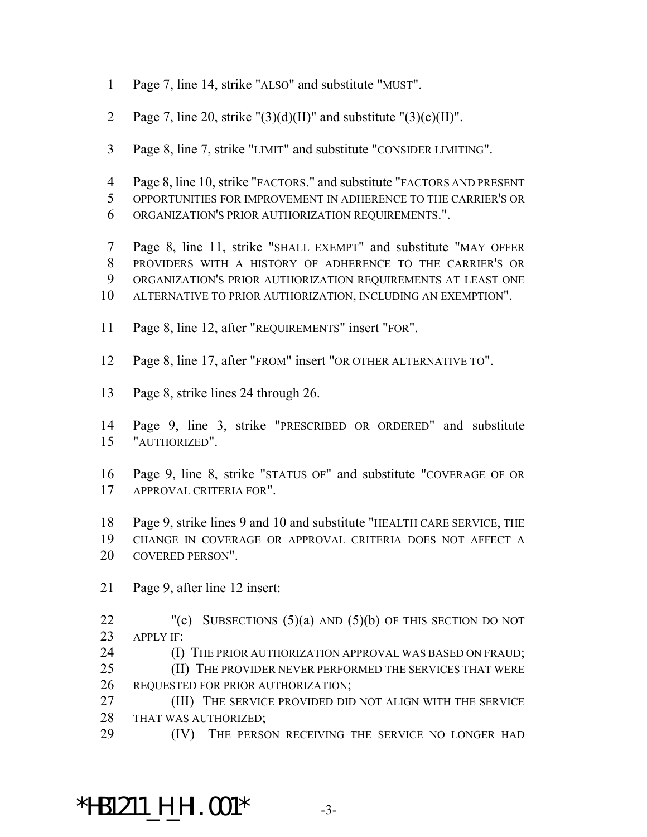- Page 7, line 14, strike "ALSO" and substitute "MUST".
- 2 Page 7, line 20, strike " $(3)(d)(II)$ " and substitute " $(3)(c)(II)$ ".
- Page 8, line 7, strike "LIMIT" and substitute "CONSIDER LIMITING".
- Page 8, line 10, strike "FACTORS." and substitute "FACTORS AND PRESENT OPPORTUNITIES FOR IMPROVEMENT IN ADHERENCE TO THE CARRIER'S OR ORGANIZATION'S PRIOR AUTHORIZATION REQUIREMENTS.".
- Page 8, line 11, strike "SHALL EXEMPT" and substitute "MAY OFFER PROVIDERS WITH A HISTORY OF ADHERENCE TO THE CARRIER'S OR ORGANIZATION'S PRIOR AUTHORIZATION REQUIREMENTS AT LEAST ONE ALTERNATIVE TO PRIOR AUTHORIZATION, INCLUDING AN EXEMPTION".
- Page 8, line 12, after "REQUIREMENTS" insert "FOR".
- Page 8, line 17, after "FROM" insert "OR OTHER ALTERNATIVE TO".
- Page 8, strike lines 24 through 26.
- Page 9, line 3, strike "PRESCRIBED OR ORDERED" and substitute "AUTHORIZED".
- Page 9, line 8, strike "STATUS OF" and substitute "COVERAGE OF OR APPROVAL CRITERIA FOR".
- Page 9, strike lines 9 and 10 and substitute "HEALTH CARE SERVICE, THE CHANGE IN COVERAGE OR APPROVAL CRITERIA DOES NOT AFFECT A COVERED PERSON".
- Page 9, after line 12 insert:
- 22 "(c) SUBSECTIONS  $(5)(a)$  AND  $(5)(b)$  OF THIS SECTION DO NOT APPLY IF:
- **(I) THE PRIOR AUTHORIZATION APPROVAL WAS BASED ON FRAUD;**
- 25 (II) THE PROVIDER NEVER PERFORMED THE SERVICES THAT WERE REQUESTED FOR PRIOR AUTHORIZATION;
- (III) THE SERVICE PROVIDED DID NOT ALIGN WITH THE SERVICE THAT WAS AUTHORIZED;
- 29 (IV) THE PERSON RECEIVING THE SERVICE NO LONGER HAD

## \*HB1211\_H\_HI.001\* -3-